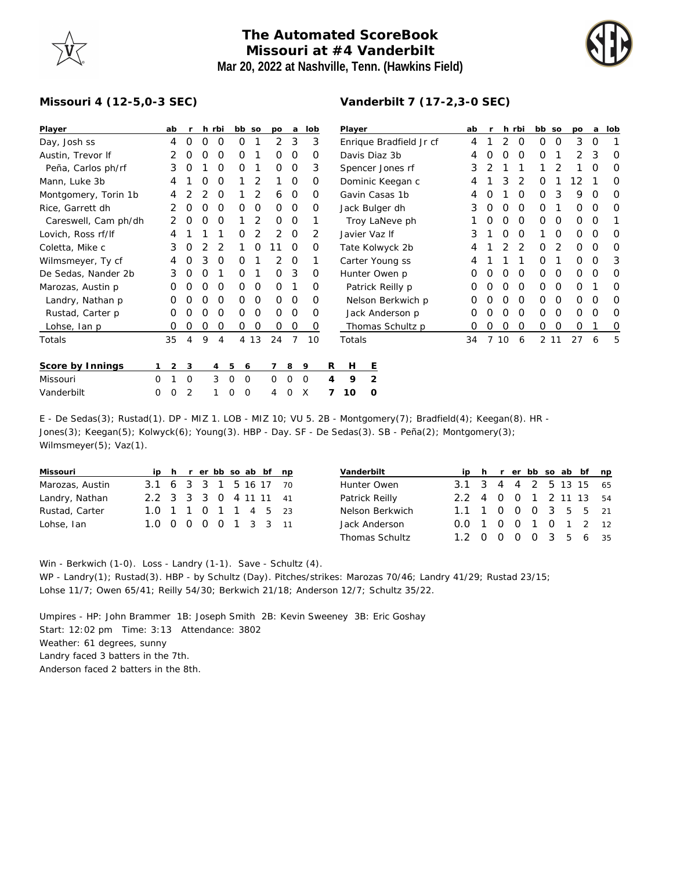## **The Automated ScoreBook Missouri at #4 Vanderbilt Mar 20, 2022 at Nashville, Tenn. (Hawkins Field)**

**Vanderbilt 7 (17-2,3-0 SEC)**



## **Missouri 4 (12-5,0-3 SEC)**

| Player               |   | ab             |          |          | h rbi    | bb so            |      | po       | a        | lob |   | Player                  |                |                  |   | ab |   |          | h rbi         | bb so    |          | po | a        | lob      |
|----------------------|---|----------------|----------|----------|----------|------------------|------|----------|----------|-----|---|-------------------------|----------------|------------------|---|----|---|----------|---------------|----------|----------|----|----------|----------|
| Day, Josh ss         |   | 4              | $\Omega$ | $\Omega$ | 0        | 0                |      | 2        | 3        | 3   |   | Enrique Bradfield Jr cf |                |                  | 4 |    | 2 | $\Omega$ | 0             | 0        | 3        | 0  |          |          |
| Austin, Trevor If    |   |                | O        | Ω        | 0        | O                |      | $\Omega$ | $\Omega$ | O   |   | Davis Diaz 3b           |                |                  |   | 4  |   | $\Omega$ | O             | 0        |          | 2  | 3        | 0        |
| Peña, Carlos ph/rf   |   | 3              | O        |          | $\Omega$ | 0                |      | $\Omega$ | 0        | 3   |   | Spencer Jones rf        |                |                  |   | 3  |   |          |               |          |          |    | ∩        | $\Omega$ |
| Mann, Luke 3b        |   | 4              |          |          | Ο        |                  | 2    |          | $\Omega$ | Ο   |   | Dominic Keegan c        |                |                  |   |    |   | 3        | 2             | O        |          | 2  |          | O        |
| Montgomery, Torin 1b |   | 4              |          |          | $\Omega$ |                  | 2    | 6        | $\Omega$ | Ο   |   | Gavin Casas 1b          |                |                  |   | 4  |   |          | $\Omega$      | 0        | 3        | 9  | O        | 0        |
| Rice, Garrett dh     |   |                |          |          | O        | O                | 0    | $\Omega$ | 0        | 0   |   | Jack Bulger dh          |                |                  |   | 3  | 0 | O        | $\Omega$      | 0        |          | 0  | O        | 0        |
| Careswell, Cam ph/dh |   | 2              |          |          | O        |                  | 2    | $\Omega$ | 0        |     |   | Troy LaNeve ph          |                |                  |   |    |   | O        | $\Omega$      | 0        | 0        | 0  | O        |          |
| Lovich, Ross rf/lf   |   | 4              |          |          |          | Ο                | 2    | 2        | $\Omega$ | 2   |   | Javier Vaz If           |                |                  |   | 3  |   | $\Omega$ | $\Omega$      |          | 0        | O  | O        | $\Omega$ |
| Coletta, Mike c      |   | 3              | $\Omega$ |          | 2        |                  | 0    | 11       | $\Omega$ | Ο   |   | Tate Kolwyck 2b         |                |                  |   | 4  |   |          | $\mathcal{P}$ | 0        | 2        | 0  | $\Omega$ | 0        |
| Wilmsmeyer, Ty cf    |   | 4              | $\Omega$ | 3        | 0        | O                |      | 2        | 0        |     |   | Carter Young ss         |                |                  |   | 4  |   |          |               | 0        |          | 0  | O        | 3        |
| De Sedas, Nander 2b  |   | 3              | $\Omega$ | O        |          | Ο                |      | $\Omega$ | 3        | 0   |   | Hunter Owen p           |                |                  |   | O  |   | $\Omega$ | $\Omega$      | 0        | 0        | 0  | O        | 0        |
| Marozas, Austin p    |   |                |          |          | O        | 0                | 0    | $\Omega$ |          | Ο   |   | Patrick Reilly p        |                |                  |   | O  |   |          | $\Omega$      | O        | O        | O  |          | O        |
| Landry, Nathan p     |   | O              | $\Omega$ |          | O        | 0                | 0    | $\Omega$ | $\Omega$ | O   |   | Nelson Berkwich p       |                |                  |   | O  |   | ∩        | $\Omega$      | $\Omega$ | $\Omega$ | 0  | $\Omega$ | $\Omega$ |
| Rustad, Carter p     |   | O              |          |          | O        | Ο                | 0    | $\Omega$ | $\Omega$ | O   |   |                         |                | Jack Anderson p  |   | O  |   | $\Omega$ | $\Omega$      | 0        | $\Omega$ | 0  | $\Omega$ | $\Omega$ |
| Lohse, Ian p         |   | O              | $\Omega$ | 0        | 0        | 0                | 0    | $\Omega$ | 0        | O   |   |                         |                | Thomas Schultz p |   | 0  | 0 | 0        | 0             | 0        | O        | 0  |          | O        |
| Totals               |   | 35             | 4        | 9        | 4        |                  | 4 13 | 24       | 7        | 10  |   | Totals                  |                |                  |   | 34 |   | 10       | 6             |          | 2 11     | 27 | 6        | 5        |
| Score by Innings     |   | $\overline{2}$ | 3        |          | 4        | 5<br>6           |      |          | 8        | 9   | R | H                       | Ε              |                  |   |    |   |          |               |          |          |    |          |          |
| Missouri             | 0 |                | $\Omega$ |          | 3        | $\mathbf 0$<br>0 |      | 0        | 0        | 0   | 4 | 9                       | $\overline{2}$ |                  |   |    |   |          |               |          |          |    |          |          |
| Vanderbilt           | 0 | 0              | 2        |          |          | 0<br>0           |      | 4        | O        | X   |   | 10                      | O              |                  |   |    |   |          |               |          |          |    |          |          |

E - De Sedas(3); Rustad(1). DP - MIZ 1. LOB - MIZ 10; VU 5. 2B - Montgomery(7); Bradfield(4); Keegan(8). HR - Jones(3); Keegan(5); Kolwyck(6); Young(3). HBP - Day. SF - De Sedas(3). SB - Peña(2); Montgomery(3); Wilmsmeyer(5); Vaz(1).

| Missouri        |                        |  |  |  | ip h r er bb so ab bf np |  |
|-----------------|------------------------|--|--|--|--------------------------|--|
| Marozas, Austin | 3.1 6 3 3 1 5 16 17 70 |  |  |  |                          |  |
| Landry, Nathan  | 2.2 3 3 3 0 4 11 11 41 |  |  |  |                          |  |
| Rustad, Carter  | 1.0 1 1 0 1 1 4 5 23   |  |  |  |                          |  |
| Lohse, Ian      | 1.0 0 0 0 0 1 3 3 11   |  |  |  |                          |  |

| Vanderbilt            |                        |  |  |  | ip h r er bb so ab bf np |
|-----------------------|------------------------|--|--|--|--------------------------|
| Hunter Owen           | 3.1 3 4 4 2 5 13 15 65 |  |  |  |                          |
| Patrick Reilly        | 2.2 4 0 0 1 2 11 13 54 |  |  |  |                          |
| Nelson Berkwich       | 1.1 1 0 0 0 3 5 5 21   |  |  |  |                          |
| Jack Anderson         | 0.0 1 0 0 1 0 1 2 12   |  |  |  |                          |
| <b>Thomas Schultz</b> | 1.2 0 0 0 0 3 5 6 35   |  |  |  |                          |

Win - Berkwich (1-0). Loss - Landry (1-1). Save - Schultz (4).

WP - Landry(1); Rustad(3). HBP - by Schultz (Day). Pitches/strikes: Marozas 70/46; Landry 41/29; Rustad 23/15; Lohse 11/7; Owen 65/41; Reilly 54/30; Berkwich 21/18; Anderson 12/7; Schultz 35/22.

Umpires - HP: John Brammer 1B: Joseph Smith 2B: Kevin Sweeney 3B: Eric Goshay Start: 12:02 pm Time: 3:13 Attendance: 3802 Weather: 61 degrees, sunny Landry faced 3 batters in the 7th. Anderson faced 2 batters in the 8th.